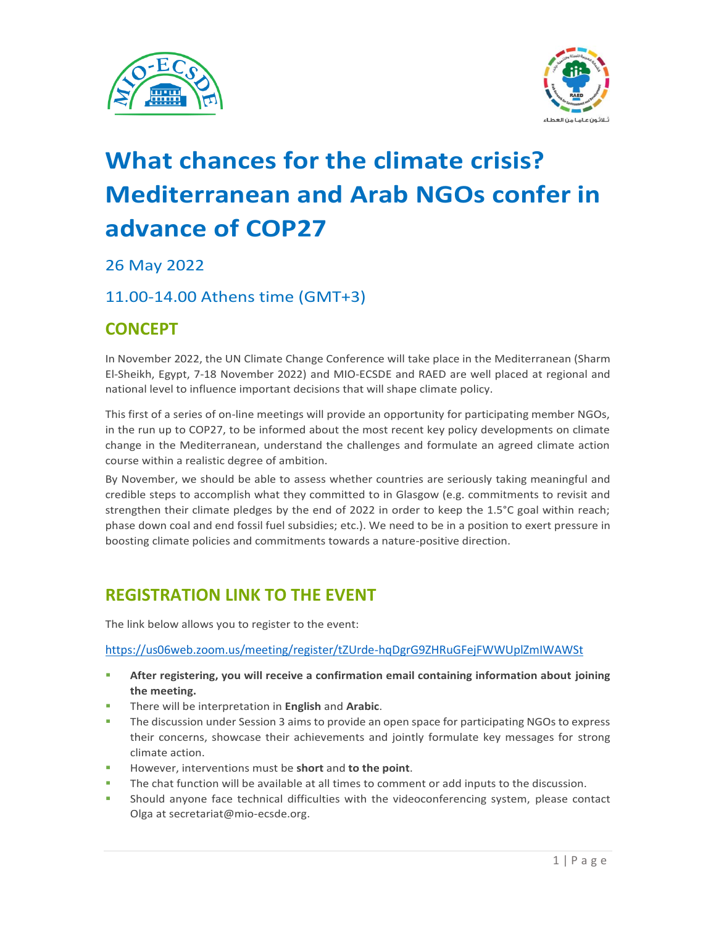



# **What chances for the climate crisis? Mediterranean and Arab NGOs confer in advance of COP27**

26 May 2022

### 11.00-14.00 Athens time (GMT+3)

## **CONCEPT**

In November 2022, the UN Climate Change Conference will take place in the Mediterranean (Sharm El-Sheikh, Egypt, 7-18 November 2022) and MIO-ECSDE and RAED are well placed at regional and national level to influence important decisions that will shape climate policy.

This first of a series of on-line meetings will provide an opportunity for participating member NGOs, in the run up to COP27, to be informed about the most recent key policy developments on climate change in the Mediterranean, understand the challenges and formulate an agreed climate action course within a realistic degree of ambition.

By November, we should be able to assess whether countries are seriously taking meaningful and credible steps to accomplish what they committed to in Glasgow (e.g. commitments to revisit and strengthen their climate pledges by the end of 2022 in order to keep the 1.5°C goal within reach; phase down coal and end fossil fuel subsidies; etc.). We need to be in a position to exert pressure in boosting climate policies and commitments towards a nature-positive direction.

## **REGISTRATION LINK TO THE EVENT**

The link below allows you to register to the event:

<https://us06web.zoom.us/meeting/register/tZUrde-hqDgrG9ZHRuGFejFWWUplZmIWAWSt>

- **EXECTE After registering, you will receive a confirmation email containing information about joining the meeting.**
- There will be interpretation in **English** and **Arabic**.
- The discussion under Session 3 aims to provide an open space for participating NGOs to express their concerns, showcase their achievements and jointly formulate key messages for strong climate action.
- However, interventions must be **short** and **to the point**.
- The chat function will be available at all times to comment or add inputs to the discussion.
- **•** Should anyone face technical difficulties with the videoconferencing system, please contact Olga at secretariat@mio-ecsde.org.